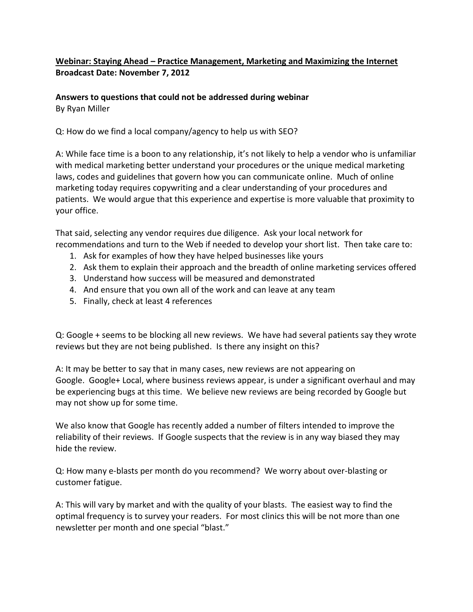## **Webinar: Staying Ahead – Practice Management, Marketing and Maximizing the Internet Broadcast Date: November 7, 2012**

**Answers to questions that could not be addressed during webinar** By Ryan Miller

Q: How do we find a local company/agency to help us with SEO?

A: While face time is a boon to any relationship, it's not likely to help a vendor who is unfamiliar with medical marketing better understand your procedures or the unique medical marketing laws, codes and guidelines that govern how you can communicate online. Much of online marketing today requires copywriting and a clear understanding of your procedures and patients. We would argue that this experience and expertise is more valuable that proximity to your office.

That said, selecting any vendor requires due diligence. Ask your local network for recommendations and turn to the Web if needed to develop your short list. Then take care to:

- 1. Ask for examples of how they have helped businesses like yours
- 2. Ask them to explain their approach and the breadth of online marketing services offered
- 3. Understand how success will be measured and demonstrated
- 4. And ensure that you own all of the work and can leave at any team
- 5. Finally, check at least 4 references

Q: Google + seems to be blocking all new reviews. We have had several patients say they wrote reviews but they are not being published. Is there any insight on this?

A: It may be better to say that in many cases, new reviews are not appearing on Google. Google+ Local, where business reviews appear, is under a significant overhaul and may be experiencing bugs at this time. We believe new reviews are being recorded by Google but may not show up for some time.

We also know that Google has recently added a number of filters intended to improve the reliability of their reviews. If Google suspects that the review is in any way biased they may hide the review.

Q: How many e-blasts per month do you recommend? We worry about over-blasting or customer fatigue.

A: This will vary by market and with the quality of your blasts. The easiest way to find the optimal frequency is to survey your readers. For most clinics this will be not more than one newsletter per month and one special "blast."